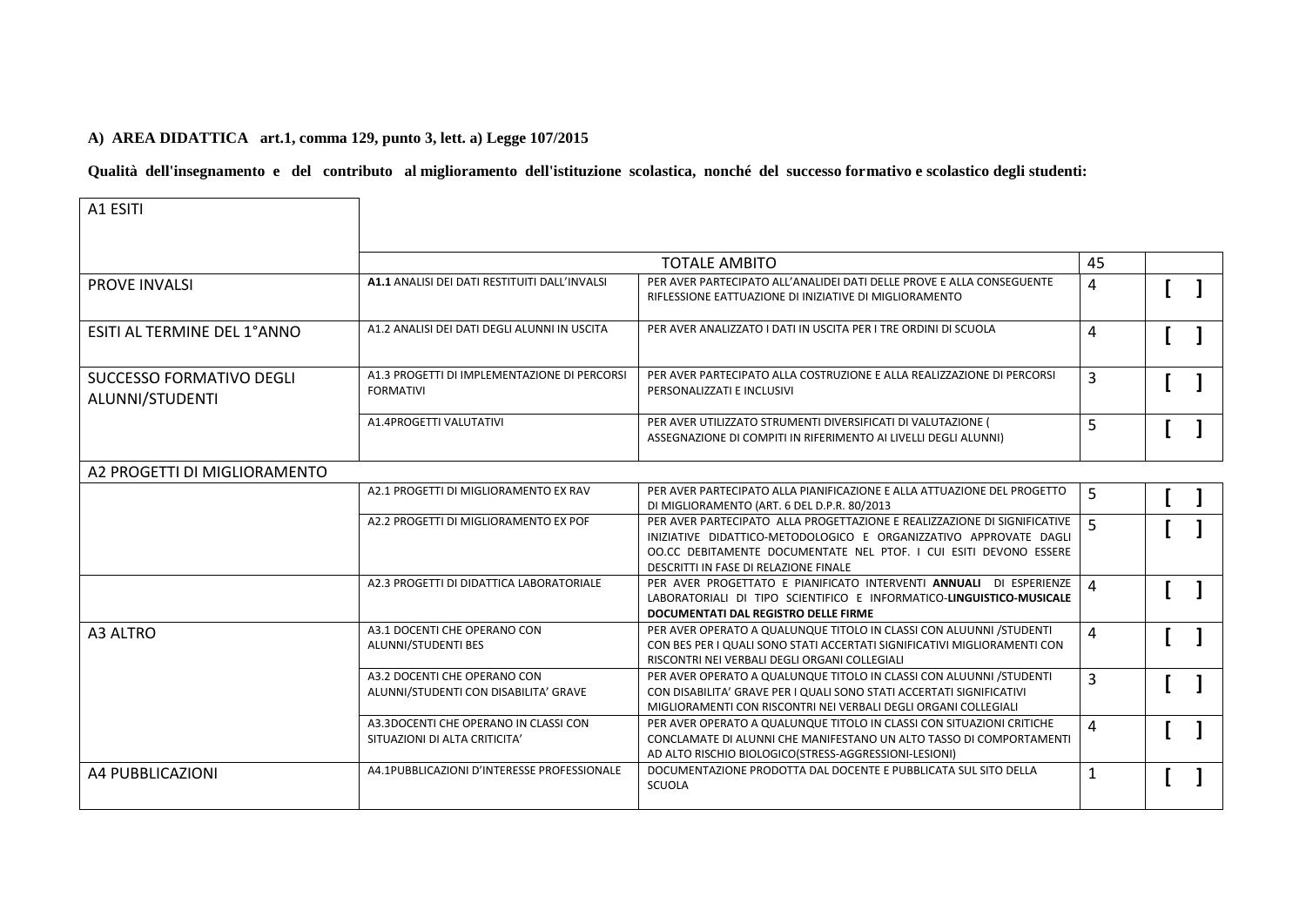## **A) AREA DIDATTICA art.1, comma 129, punto 3, lett. a) Legge 107/2015**

**Qualità dell'insegnamento e del contributo al miglioramento dell'istituzione scolastica, nonché del successo formativo e scolastico degli studenti:**

| A1 ESITI                                           |                                                                        |                                                                                                                                                                                                                                                             |                |  |
|----------------------------------------------------|------------------------------------------------------------------------|-------------------------------------------------------------------------------------------------------------------------------------------------------------------------------------------------------------------------------------------------------------|----------------|--|
|                                                    | <b>TOTALE AMBITO</b>                                                   |                                                                                                                                                                                                                                                             |                |  |
| <b>PROVE INVALSI</b>                               | A1.1 ANALISI DEI DATI RESTITUITI DALL'INVALSI                          | PER AVER PARTECIPATO ALL'ANALIDEI DATI DELLE PROVE E ALLA CONSEGUENTE<br>RIFLESSIONE EATTUAZIONE DI INIZIATIVE DI MIGLIORAMENTO                                                                                                                             | 4              |  |
| ESITI AL TERMINE DEL 1ºANNO                        | A1.2 ANALISI DEI DATI DEGLI ALUNNI IN USCITA                           | PER AVER ANALIZZATO I DATI IN USCITA PER I TRE ORDINI DI SCUOLA                                                                                                                                                                                             | 4              |  |
| <b>SUCCESSO FORMATIVO DEGLI</b><br>ALUNNI/STUDENTI | A1.3 PROGETTI DI IMPLEMENTAZIONE DI PERCORSI<br><b>FORMATIVI</b>       | PER AVER PARTECIPATO ALLA COSTRUZIONE E ALLA REALIZZAZIONE DI PERCORSI<br>PERSONALIZZATI E INCLUSIVI                                                                                                                                                        | 3              |  |
|                                                    | A1.4PROGETTI VALUTATIVI                                                | PER AVER UTILIZZATO STRUMENTI DIVERSIFICATI DI VALUTAZIONE (<br>ASSEGNAZIONE DI COMPITI IN RIFERIMENTO AI LIVELLI DEGLI ALUNNI)                                                                                                                             | 5              |  |
| A2 PROGETTI DI MIGLIORAMENTO                       |                                                                        |                                                                                                                                                                                                                                                             |                |  |
|                                                    | A2.1 PROGETTI DI MIGLIORAMENTO EX RAV                                  | PER AVER PARTECIPATO ALLA PIANIFICAZIONE E ALLA ATTUAZIONE DEL PROGETTO<br>DI MIGLIORAMENTO (ART. 6 DEL D.P.R. 80/2013                                                                                                                                      | 5              |  |
|                                                    | A2.2 PROGETTI DI MIGLIORAMENTO EX POF                                  | PER AVER PARTECIPATO ALLA PROGETTAZIONE E REALIZZAZIONE DI SIGNIFICATIVE<br>INIZIATIVE DIDATTICO-METODOLOGICO E ORGANIZZATIVO APPROVATE DAGLI<br>OO.CC DEBITAMENTE DOCUMENTATE NEL PTOF. I CUI ESITI DEVONO ESSERE<br>DESCRITTI IN FASE DI RELAZIONE FINALE | $\overline{5}$ |  |
|                                                    | A2.3 PROGETTI DI DIDATTICA LABORATORIALE                               | PER AVER PROGETTATO E PIANIFICATO INTERVENTI ANNUALI DI ESPERIENZE<br>LABORATORIALI DI TIPO SCIENTIFICO E INFORMATICO-LINGUISTICO-MUSICALE<br>DOCUMENTATI DAL REGISTRO DELLE FIRME                                                                          | $\Delta$       |  |
| A3 ALTRO                                           | A3.1 DOCENTI CHE OPERANO CON<br>ALUNNI/STUDENTI BES                    | PER AVER OPERATO A QUALUNQUE TITOLO IN CLASSI CON ALUUNNI / STUDENTI<br>CON BES PER I QUALI SONO STATI ACCERTATI SIGNIFICATIVI MIGLIORAMENTI CON<br>RISCONTRI NEI VERBALI DEGLI ORGANI COLLEGIALI                                                           | 4              |  |
|                                                    | A3.2 DOCENTI CHE OPERANO CON<br>ALUNNI/STUDENTI CON DISABILITA' GRAVE  | PER AVER OPERATO A QUALUNQUE TITOLO IN CLASSI CON ALUUNNI / STUDENTI<br>CON DISABILITA' GRAVE PER I QUALI SONO STATI ACCERTATI SIGNIFICATIVI<br>MIGLIORAMENTI CON RISCONTRI NEI VERBALI DEGLI ORGANI COLLEGIALI                                             | $\overline{3}$ |  |
|                                                    | A3.3DOCENTI CHE OPERANO IN CLASSI CON<br>SITUAZIONI DI ALTA CRITICITA' | PER AVER OPERATO A QUALUNQUE TITOLO IN CLASSI CON SITUAZIONI CRITICHE<br>CONCLAMATE DI ALUNNI CHE MANIFESTANO UN ALTO TASSO DI COMPORTAMENTI<br>AD ALTO RISCHIO BIOLOGICO(STRESS-AGGRESSIONI-LESIONI)                                                       | 4              |  |
| A4 PUBBLICAZIONI                                   | A4.1PUBBLICAZIONI D'INTERESSE PROFESSIONALE                            | DOCUMENTAZIONE PRODOTTA DAL DOCENTE E PUBBLICATA SUL SITO DELLA<br><b>SCUOLA</b>                                                                                                                                                                            | $\mathbf{1}$   |  |